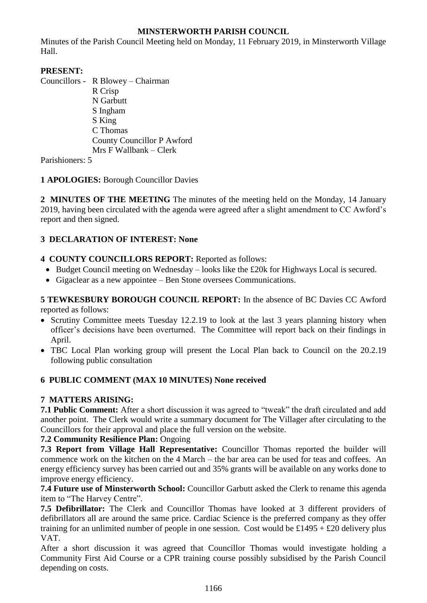# **MINSTERWORTH PARISH COUNCIL**

Minutes of the Parish Council Meeting held on Monday, 11 February 2019, in Minsterworth Village Hall.

# **PRESENT:**

Councillors - R Blowey – Chairman R Crisp N Garbutt S Ingham S King C Thomas County Councillor P Awford Mrs F Wallbank – Clerk

Parishioners: 5

## **1 APOLOGIES:** Borough Councillor Davies

**2 MINUTES OF THE MEETING** The minutes of the meeting held on the Monday, 14 January 2019, having been circulated with the agenda were agreed after a slight amendment to CC Awford's report and then signed.

## **3 DECLARATION OF INTEREST: None**

## **4 COUNTY COUNCILLORS REPORT:** Reported as follows:

- Budget Council meeting on Wednesday looks like the £20k for Highways Local is secured.
- Gigaclear as a new appointee Ben Stone oversees Communications.

**5 TEWKESBURY BOROUGH COUNCIL REPORT:** In the absence of BC Davies CC Awford reported as follows:

- Scrutiny Committee meets Tuesday 12.2.19 to look at the last 3 years planning history when officer's decisions have been overturned. The Committee will report back on their findings in April.
- TBC Local Plan working group will present the Local Plan back to Council on the 20.2.19 following public consultation

# **6 PUBLIC COMMENT (MAX 10 MINUTES) None received**

# **7 MATTERS ARISING:**

**7.1 Public Comment:** After a short discussion it was agreed to "tweak" the draft circulated and add another point. The Clerk would write a summary document for The Villager after circulating to the Councillors for their approval and place the full version on the website.

## **7.2 Community Resilience Plan:** Ongoing

**7.3 Report from Village Hall Representative:** Councillor Thomas reported the builder will commence work on the kitchen on the 4 March – the bar area can be used for teas and coffees. An energy efficiency survey has been carried out and 35% grants will be available on any works done to improve energy efficiency.

**7.4 Future use of Minsterworth School:** Councillor Garbutt asked the Clerk to rename this agenda item to "The Harvey Centre".

**7.5 Defibrillator:** The Clerk and Councillor Thomas have looked at 3 different providers of defibrillators all are around the same price. Cardiac Science is the preferred company as they offer training for an unlimited number of people in one session. Cost would be  $£1495 + £20$  delivery plus VAT.

After a short discussion it was agreed that Councillor Thomas would investigate holding a Community First Aid Course or a CPR training course possibly subsidised by the Parish Council depending on costs.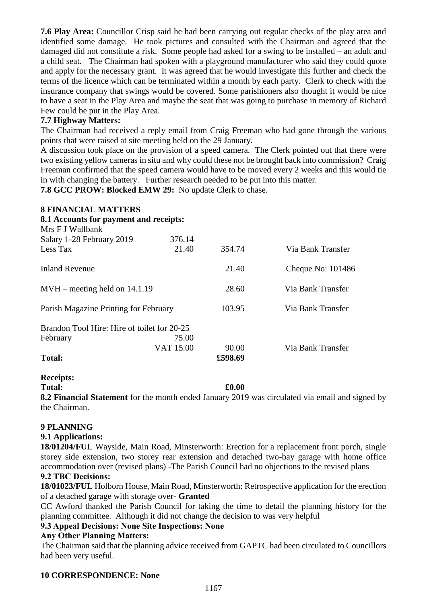**7.6 Play Area:** Councillor Crisp said he had been carrying out regular checks of the play area and identified some damage. He took pictures and consulted with the Chairman and agreed that the damaged did not constitute a risk. Some people had asked for a swing to be installed – an adult and a child seat. The Chairman had spoken with a playground manufacturer who said they could quote and apply for the necessary grant. It was agreed that he would investigate this further and check the terms of the licence which can be terminated within a month by each party. Clerk to check with the insurance company that swings would be covered. Some parishioners also thought it would be nice to have a seat in the Play Area and maybe the seat that was going to purchase in memory of Richard Few could be put in the Play Area.

## **7.7 Highway Matters:**

The Chairman had received a reply email from Craig Freeman who had gone through the various points that were raised at site meeting held on the 29 January.

A discussion took place on the provision of a speed camera. The Clerk pointed out that there were two existing yellow cameras in situ and why could these not be brought back into commission? Craig Freeman confirmed that the speed camera would have to be moved every 2 weeks and this would tie in with changing the battery. Further research needed to be put into this matter.

**7.8 GCC PROW: Blocked EMW 29:** No update Clerk to chase.

#### **8 FINANCIAL MATTERS**

**8.1 Accounts for payment and receipts:** Mrs F J Wallbank Salary 1-28 February 2019 376.14 Less Tax 21.40 354.74 Via Bank Transfer Inland Revenue 21.40 Cheque No: 101486 MVH – meeting held on 14.1.19 28.60 Via Bank Transfer Parish Magazine Printing for February 103.95 Via Bank Transfer Brandon Tool Hire: Hire of toilet for 20-25 February 75.00 VAT 15.00 90.00 Via Bank Transfer **Total: £598.69**

#### **Receipts:**

#### **Total: £0.00**

**8.2 Financial Statement** for the month ended January 2019 was circulated via email and signed by the Chairman.

## **9 PLANNING**

## **9.1 Applications:**

**18/01204/FUL** Wayside, Main Road, Minsterworth: Erection for a replacement front porch, single storey side extension, two storey rear extension and detached two-bay garage with home office accommodation over (revised plans) -The Parish Council had no objections to the revised plans

### **9.2 TBC Decisions:**

**18/01023/FUL** Holborn House, Main Road, Minsterworth: Retrospective application for the erection of a detached garage with storage over- **Granted**

CC Awford thanked the Parish Council for taking the time to detail the planning history for the planning committee. Although it did not change the decision to was very helpful

## **9.3 Appeal Decisions: None Site Inspections: None**

## **Any Other Planning Matters:**

The Chairman said that the planning advice received from GAPTC had been circulated to Councillors had been very useful.

### **10 CORRESPONDENCE: None**